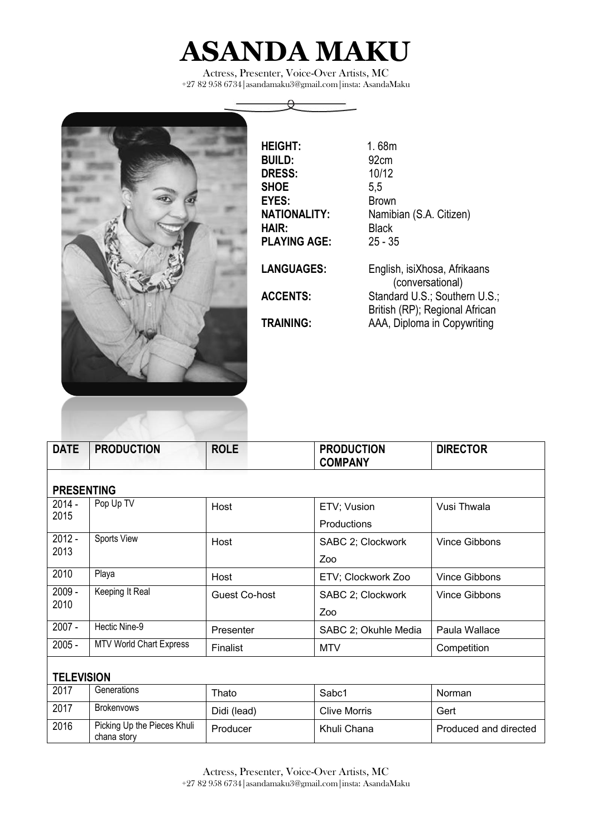

Actress, Presenter, Voice-Over Artists, MC +27 82 95[8 6734|asandamaku3@gmail.com|insta:](mailto:6734%7Casandamaku3@gmail.com%7Cinsta) AsandaMaku

 $\Theta$ 



| <b>HEIGHT:</b>      | 1.68m                                                           |
|---------------------|-----------------------------------------------------------------|
| <b>BUILD:</b>       | 92 <sub>cm</sub>                                                |
| <b>DRESS:</b>       | 10/12                                                           |
| <b>SHOE</b>         | 5,5                                                             |
| EYES:               | <b>Brown</b>                                                    |
| <b>NATIONALITY:</b> | Namibian (S.A. Citizen)                                         |
| HAIR:               | Black                                                           |
| <b>PLAYING AGE:</b> | $25 - 35$                                                       |
| <b>LANGUAGES:</b>   | English, isiXhosa, Afrikaans<br>(conversational)                |
| <b>ACCENTS:</b>     | Standard U.S.; Southern U.S.;<br>British (RP); Regional African |
| <b>TRAINING:</b>    | AAA, Diploma in Copywriting                                     |
|                     |                                                                 |

| <b>DATE</b>       | <b>PRODUCTION</b>                          | <b>ROLE</b>          | <b>PRODUCTION</b><br><b>COMPANY</b> | <b>DIRECTOR</b>       |  |  |  |  |
|-------------------|--------------------------------------------|----------------------|-------------------------------------|-----------------------|--|--|--|--|
|                   |                                            |                      |                                     |                       |  |  |  |  |
| <b>PRESENTING</b> |                                            |                      |                                     |                       |  |  |  |  |
| $2014 -$<br>2015  | Pop Up TV                                  | Host                 | ETV; Vusion                         | Vusi Thwala           |  |  |  |  |
|                   |                                            |                      | Productions                         |                       |  |  |  |  |
| $2012 -$          | Sports View                                | Host                 | SABC 2; Clockwork                   | <b>Vince Gibbons</b>  |  |  |  |  |
| 2013              |                                            |                      | Zoo                                 |                       |  |  |  |  |
| 2010              | Playa                                      | Host                 | ETV; Clockwork Zoo                  | <b>Vince Gibbons</b>  |  |  |  |  |
| $2009 -$          | Keeping It Real                            | <b>Guest Co-host</b> | SABC 2; Clockwork                   | <b>Vince Gibbons</b>  |  |  |  |  |
| 2010              |                                            |                      | Zoo                                 |                       |  |  |  |  |
| $2007 -$          | Hectic Nine-9                              | Presenter            | SABC 2; Okuhle Media                | Paula Wallace         |  |  |  |  |
| $2005 -$          | <b>MTV World Chart Express</b>             | Finalist             | <b>MTV</b>                          | Competition           |  |  |  |  |
|                   |                                            |                      |                                     |                       |  |  |  |  |
| <b>TELEVISION</b> |                                            |                      |                                     |                       |  |  |  |  |
| 2017              | Generations                                | Thato                | Sabc1                               | Norman                |  |  |  |  |
| 2017              | <b>Brokenvows</b>                          | Didi (lead)          | <b>Clive Morris</b>                 | Gert                  |  |  |  |  |
| 2016              | Picking Up the Pieces Khuli<br>chana story | Producer             | Khuli Chana                         | Produced and directed |  |  |  |  |